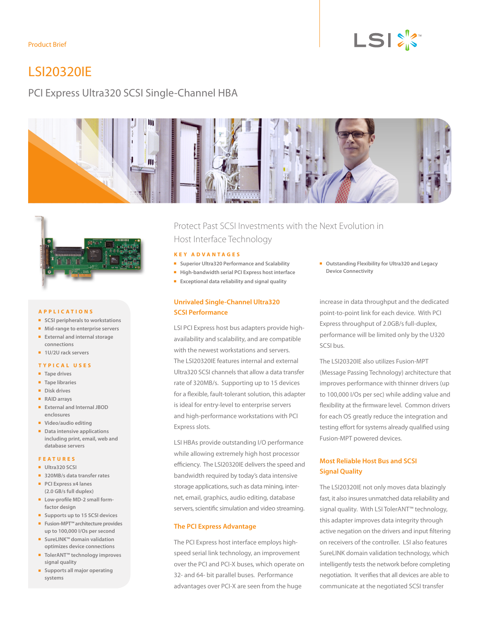# $LSI \overset{\text{p}}{\succcurlyeq} \overset{\text{p}}{\sim}$

# LSI20320IE

## PCI Express Ultra320 SCSI Single-Channel HBA





#### **Applic a tions**

- **n SCSI** peripherals to workstations
- **n** Mid-range to enterprise servers
- **External and internal storage connections**
- **n** 1U/2U rack servers

#### **T ypic a l Uses**

- **n** Tape drives
- **n Tape libraries**
- **n** Disk drives
- <sup>n</sup> **RAID arrays**
- <sup>n</sup> **External and Internal JBOD enclosures**
- **Nideo/audio editing**
- **n** Data intensive applications **including print, email, web and database servers**

#### **F e a t u res**

- <sup>n</sup> **Ultra320 SCSI**
- **B** 320MB/s data transfer rates
- **PCI Express x4 lanes (2.0 GB/s full duplex)**
- **E** Low-profile MD-2 small form**factor design**
- **n** Supports up to 15 SCSI devices
- <sup>n</sup> **Fusion-MPT™ architecture provides up to 100,000 I/Os per second**
- SureLINK™ domain validation **optimizes device connections**
- TolerANT<sup>™</sup> technology improves **signal quality**
- **n** Supports all major operating **systems**

Protect Past SCSI Investments with the Next Evolution in Host Interface Technology

#### **Key Adv a n t a ges**

- Superior Ultra320 Performance and Scalability
- $\blacksquare$  High-bandwidth serial PCI Express host interface
- **Exceptional data reliability and signal quality**

#### **Unrivaled Single-Channel Ultra320 SCSI Performance**

LSI PCI Express host bus adapters provide highavailability and scalability, and are compatible with the newest workstations and servers. The LSI20320IE features internal and external Ultra320 SCSI channels that allow a data transfer rate of 320MB/s. Supporting up to 15 devices for a flexible, fault-tolerant solution, this adapter is ideal for entry-level to enterprise servers and high-performance workstations with PCI Express slots.

LSI HBAs provide outstanding I/O performance while allowing extremely high host processor efficiency. The LSI20320IE delivers the speed and bandwidth required by today's data intensive storage applications, such as data mining, internet, email, graphics, audio editing, database servers, scientific simulation and video streaming.

#### **The PCI Express Advantage**

The PCI Express host interface employs highspeed serial link technology, an improvement over the PCI and PCI-X buses, which operate on 32- and 64- bit parallel buses. Performance advantages over PCI-X are seen from the huge

■ Outstanding Flexibility for Ultra320 and Legacy **Device Connectivity**

increase in data throughput and the dedicated point-to-point link for each device. With PCI Express throughput of 2.0GB/s full-duplex, performance will be limited only by the U320 SCSI bus.

The LSI20320IE also utilizes Fusion-MPT (Message Passing Technology) architecture that improves performance with thinner drivers (up to 100,000 I/Os per sec) while adding value and flexibility at the firmware level. Common drivers for each OS greatly reduce the integration and testing effort for systems already qualified using Fusion-MPT powered devices.

### **Most Reliable Host Bus and SCSI Signal Quality**

The LSI20320IE not only moves data blazingly fast, it also insures unmatched data reliability and signal quality. With LSI TolerANT™ technology, this adapter improves data integrity through active negation on the drivers and input filtering on receivers of the controller. LSI also features SureLINK domain validation technology, which intelligently tests the network before completing negotiation. It verifies that all devices are able to communicate at the negotiated SCSI transfer